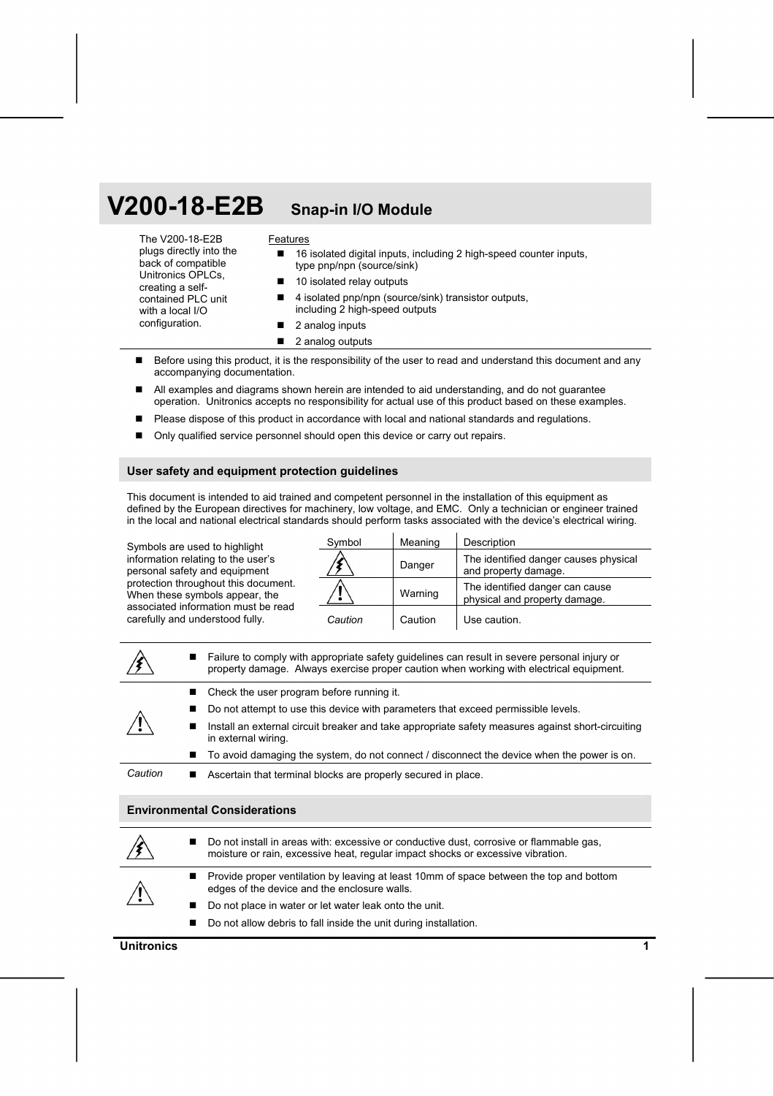# **V200-18-E2B Snap-in I/O Module**

The V200-18-E2B

### **Features**

| plugs directly into the<br>back of compatible | ■ 16 isolated digital inputs, including 2 high-speed counter inputs,<br>type pnp/npn (source/sink) |
|-----------------------------------------------|----------------------------------------------------------------------------------------------------|
| Unitronics OPLCs,<br>creating a self-         | ■ 10 isolated relay outputs                                                                        |
| contained PLC unit<br>with a local I/O        | ■ 4 isolated pnp/npn (source/sink) transistor outputs.<br>including 2 high-speed outputs           |
| configuration.                                | 2 analog inputs                                                                                    |

- 2 analog outputs
- Before using this product, it is the responsibility of the user to read and understand this document and any accompanying documentation.
- All examples and diagrams shown herein are intended to aid understanding, and do not guarantee operation. Unitronics accepts no responsibility for actual use of this product based on these examples.
- **Please dispose of this product in accordance with local and national standards and regulations.**
- Only qualified service personnel should open this device or carry out repairs.

#### **User safety and equipment protection guidelines**

This document is intended to aid trained and competent personnel in the installation of this equipment as defined by the European directives for machinery, low voltage, and EMC. Only a technician or engineer trained in the local and national electrical standards should perform tasks associated with the device's electrical wiring.

Symbols are used to highlight information relating to the user's personal safety and equipment protection throughout this document. When these symbols appear, the associated information must be read carefully and understood fully.

| Symbol  | Meaning | Description                                                      |
|---------|---------|------------------------------------------------------------------|
|         | Danger  | The identified danger causes physical<br>and property damage.    |
|         | Warning | The identified danger can cause<br>physical and property damage. |
| Caution | Caution | Use caution.                                                     |

|         |   | Failure to comply with appropriate safety guidelines can result in severe personal injury or<br>property damage. Always exercise proper caution when working with electrical equipment. |
|---------|---|-----------------------------------------------------------------------------------------------------------------------------------------------------------------------------------------|
|         |   | Check the user program before running it.                                                                                                                                               |
|         |   | Do not attempt to use this device with parameters that exceed permissible levels.                                                                                                       |
|         | ш | Install an external circuit breaker and take appropriate safety measures against short-circuiting<br>in external wiring.                                                                |
|         |   | To avoid damaging the system, do not connect / disconnect the device when the power is on.                                                                                              |
| Caution |   | Ascertain that terminal blocks are properly secured in place.                                                                                                                           |

#### **Environmental Considerations**

|             |                | ■ Do not install in areas with: excessive or conductive dust, corrosive or flammable gas,<br>moisture or rain, excessive heat, regular impact shocks or excessive vibration. |
|-------------|----------------|------------------------------------------------------------------------------------------------------------------------------------------------------------------------------|
| $\bigwedge$ |                | ■ Provide proper ventilation by leaving at least 10mm of space between the top and bottom<br>edges of the device and the enclosure walls.                                    |
|             | $\blacksquare$ | Do not place in water or let water leak onto the unit.                                                                                                                       |
|             |                | ■ Do not allow debris to fall inside the unit during installation.                                                                                                           |

#### **Unitronics** 1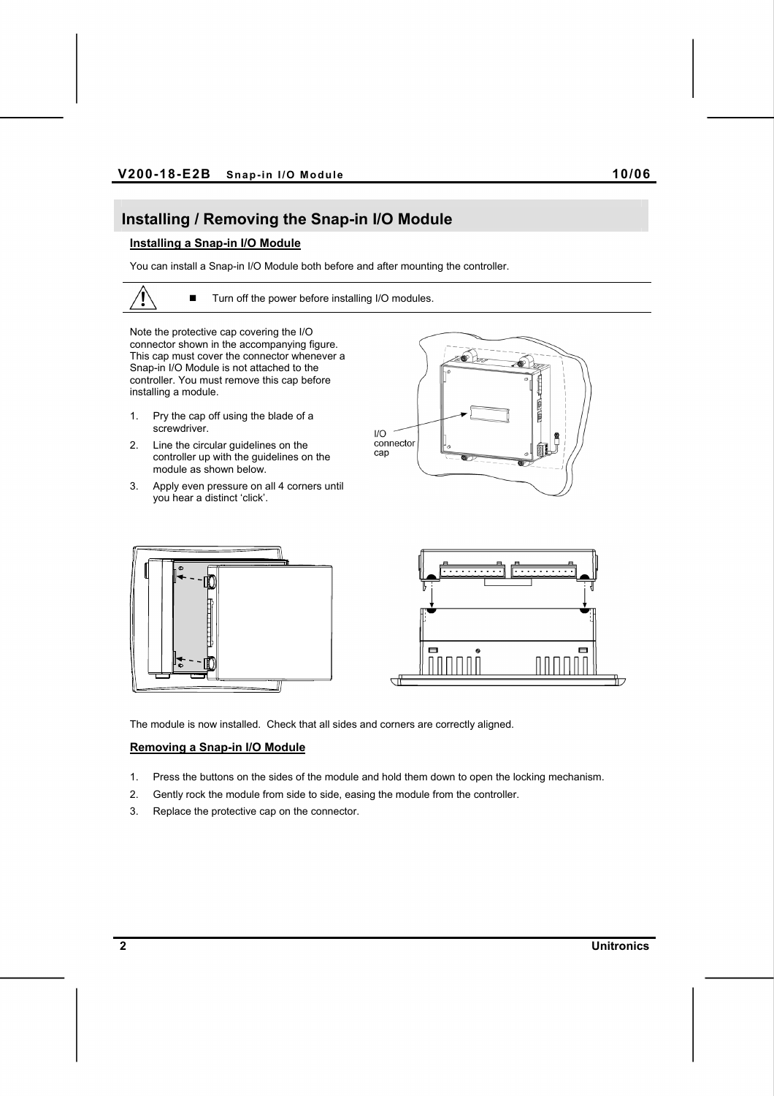## **Installing / Removing the Snap-in I/O Module**

### **Installing a Snap-in I/O Module**

You can install a Snap-in I/O Module both before and after mounting the controller.

■ Turn off the power before installing I/O modules.

Note the protective cap covering the I/O

connector shown in the accompanying figure. This cap must cover the connector whenever a Snap-in I/O Module is not attached to the controller. You must remove this cap before installing a module.

- 1. Pry the cap off using the blade of a screwdriver.
- 2. Line the circular guidelines on the controller up with the guidelines on the module as shown below.
- 3. Apply even pressure on all 4 corners until you hear a distinct 'click'.







The module is now installed. Check that all sides and corners are correctly aligned.

#### **Removing a Snap-in I/O Module**

- 1. Press the buttons on the sides of the module and hold them down to open the locking mechanism.
- 2. Gently rock the module from side to side, easing the module from the controller.
- 3. Replace the protective cap on the connector.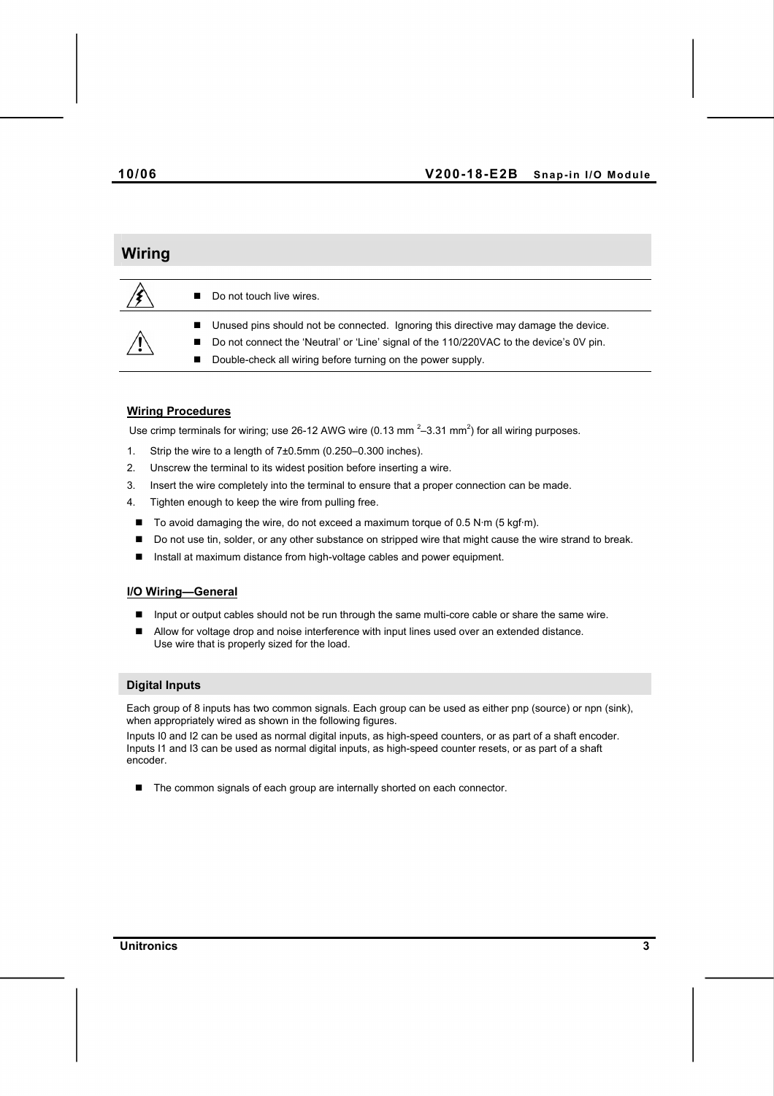# **Wiring**  Do not touch live wires. Unused pins should not be connected. Ignoring this directive may damage the device. ■ Do not connect the 'Neutral' or 'Line' signal of the 110/220VAC to the device's 0V pin. Double-check all wiring before turning on the power supply.

#### **Wiring Procedures**

Use crimp terminals for wiring; use 26-12 AWG wire (0.13 mm<sup>2</sup>-3.31 mm<sup>2</sup>) for all wiring purposes.

- 1. Strip the wire to a length of 7±0.5mm (0.250–0.300 inches).
- 2. Unscrew the terminal to its widest position before inserting a wire.
- 3. Insert the wire completely into the terminal to ensure that a proper connection can be made.
- 4. Tighten enough to keep the wire from pulling free.
- $\blacksquare$  To avoid damaging the wire, do not exceed a maximum torque of 0.5 N·m (5 kgf·m).
- Do not use tin, solder, or any other substance on stripped wire that might cause the wire strand to break.
- Install at maximum distance from high-voltage cables and power equipment.

#### **I/O Wiring—General**

- **Input or output cables should not be run through the same multi-core cable or share the same wire.**
- Allow for voltage drop and noise interference with input lines used over an extended distance. Use wire that is properly sized for the load.

#### **Digital Inputs**

Each group of 8 inputs has two common signals. Each group can be used as either pnp (source) or npn (sink), when appropriately wired as shown in the following figures.

Inputs I0 and I2 can be used as normal digital inputs, as high-speed counters, or as part of a shaft encoder. Inputs I1 and I3 can be used as normal digital inputs, as high-speed counter resets, or as part of a shaft encoder.

■ The common signals of each group are internally shorted on each connector.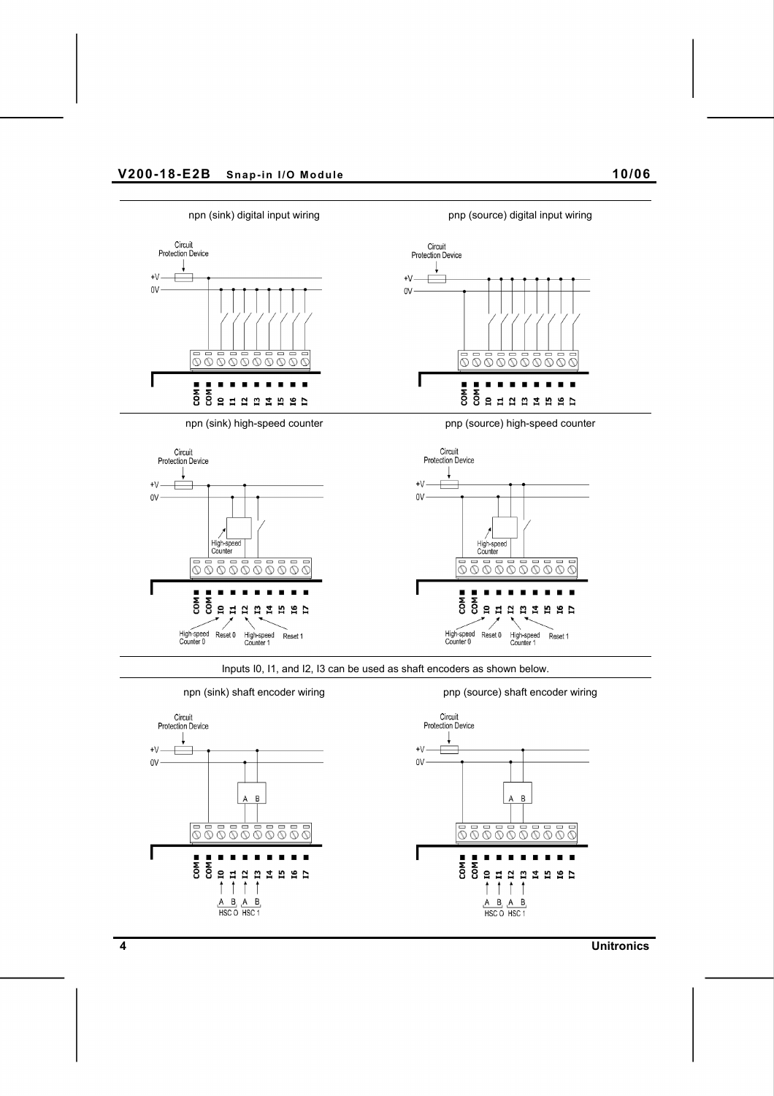









Inputs I0, I1, and I2, I3 can be used as shaft encoders as shown below.



**4 Unitronics**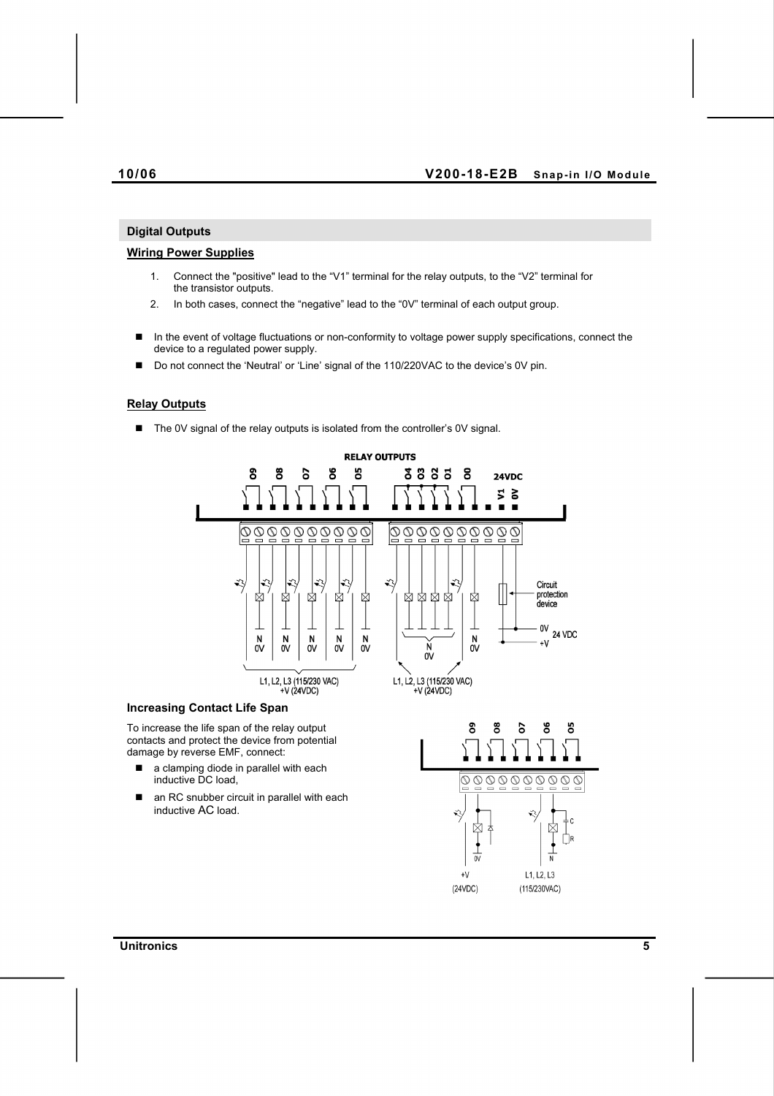#### **10/06 V200-18-E2B Snap-in I/O Module**

#### **Digital Outputs**

#### **Wiring Power Supplies**

- 1. Connect the "positive" lead to the "V1" terminal for the relay outputs, to the "V2" terminal for the transistor outputs.
- 2. In both cases, connect the "negative" lead to the "0V" terminal of each output group.
- In the event of voltage fluctuations or non-conformity to voltage power supply specifications, connect the device to a regulated power supply.
- Do not connect the 'Neutral' or 'Line' signal of the 110/220VAC to the device's 0V pin.

#### **Relay Outputs**

■ The 0V signal of the relay outputs is isolated from the controller's 0V signal.



To increase the life span of the relay output contacts and protect the device from potential damage by reverse EMF, connect:

- a clamping diode in parallel with each inductive DC load,
- an RC snubber circuit in parallel with each inductive AC load.



**Unitronics 5**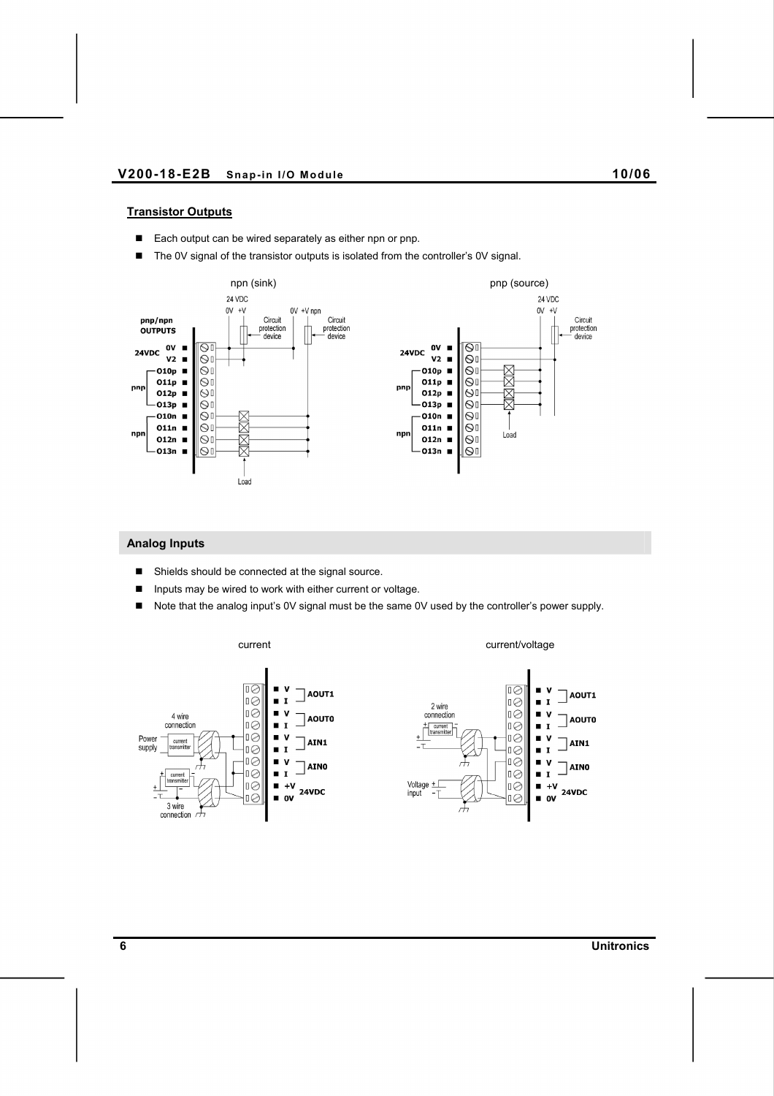#### **Transistor Outputs**

- Each output can be wired separately as either npn or pnp.
- The 0V signal of the transistor outputs is isolated from the controller's 0V signal.



#### **Analog Inputs**

- Shields should be connected at the signal source.
- Inputs may be wired to work with either current or voltage.
- Note that the analog input's 0V signal must be the same 0V used by the controller's power supply.

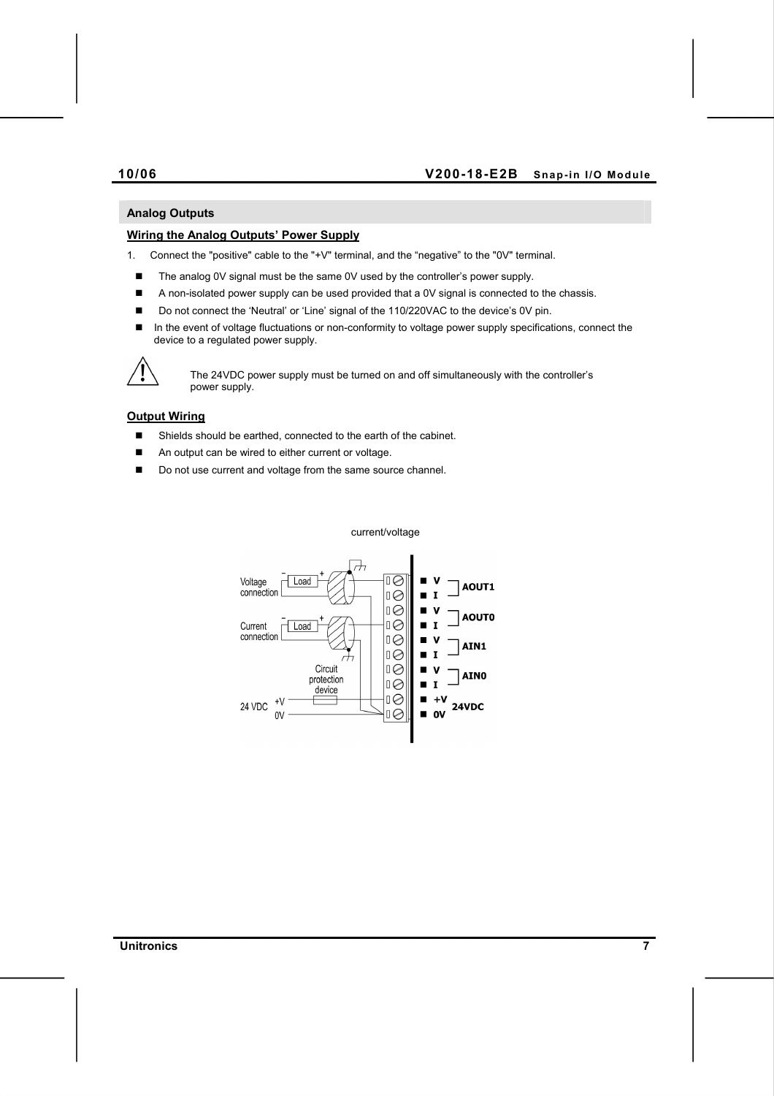### **10/06 V200-18-E2B Snap-in I/O Module**

#### **Analog Outputs**

#### **Wiring the Analog Outputs' Power Supply**

1. Connect the "positive" cable to the "+V" terminal, and the "negative" to the "0V" terminal.

- The analog 0V signal must be the same 0V used by the controller's power supply.
- A non-isolated power supply can be used provided that a 0V signal is connected to the chassis.
- Do not connect the 'Neutral' or 'Line' signal of the 110/220VAC to the device's 0V pin.
- In the event of voltage fluctuations or non-conformity to voltage power supply specifications, connect the device to a regulated power supply.



The 24VDC power supply must be turned on and off simultaneously with the controller's power supply.

#### **Output Wiring**

- Shields should be earthed, connected to the earth of the cabinet.
- An output can be wired to either current or voltage.
- Do not use current and voltage from the same source channel.

Voltage<br>connection  $\overline{1Q}$ Load AOUT1  $1\circledcirc$ ∣ロ⊘ **AOUTO**  $1\odot$ Current ī Load connection ∣ロ⊘ AIN1 ∣ロ⊘ т Circuit ∣□⊘ **AINO** protection ∣□⊘  $\mathbf{r}$ п device ≬∏  $\blacksquare$  $+$  $+V$ 24 VDC 24VDC  $\overline{1}$  $\blacksquare$  ov  $0V$ 

current/voltage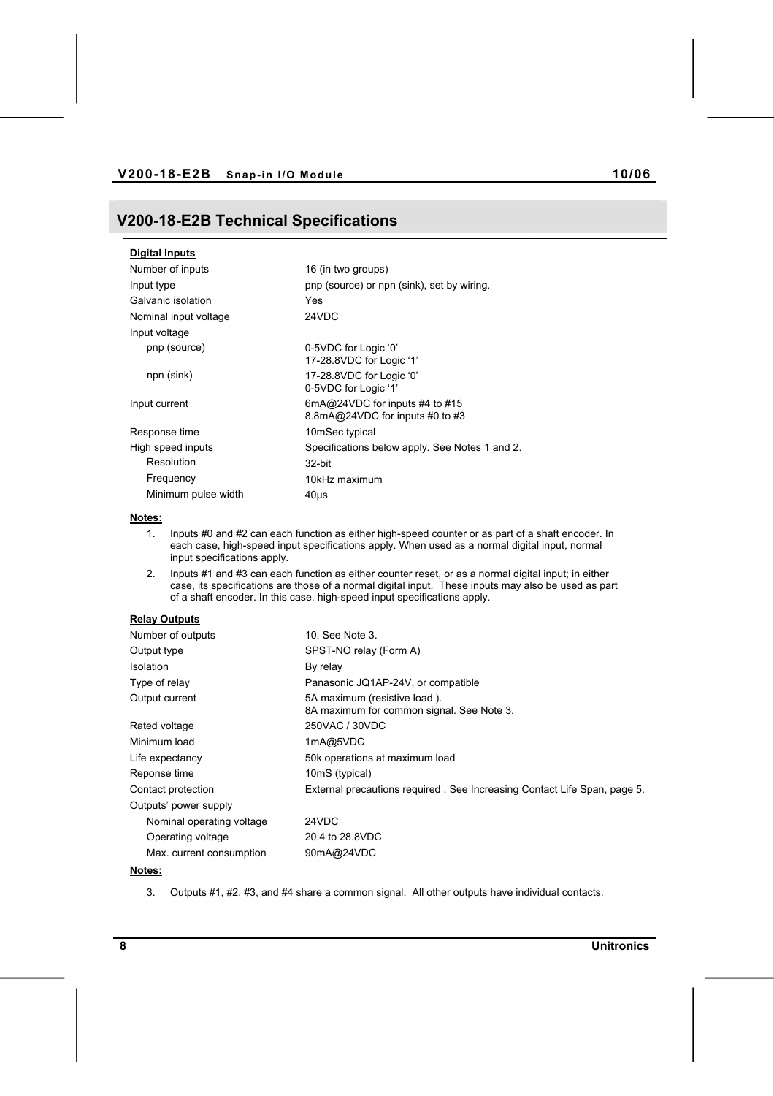## **V200-18-E2B Technical Specifications**

| Digital Inputs        |                                                                   |
|-----------------------|-------------------------------------------------------------------|
| Number of inputs      | 16 (in two groups)                                                |
| Input type            | pnp (source) or npn (sink), set by wiring.                        |
| Galvanic isolation    | Yes                                                               |
| Nominal input voltage | 24VDC                                                             |
| Input voltage         |                                                                   |
| pnp (source)          | 0-5VDC for Logic '0'<br>17-28.8VDC for Logic '1'                  |
| npn (sink)            | 17-28.8VDC for Logic '0'<br>0-5VDC for Logic '1'                  |
| Input current         | 6mA@24VDC for inputs #4 to #15<br>8.8mA@24VDC for inputs #0 to #3 |
| Response time         | 10mSec typical                                                    |
| High speed inputs     | Specifications below apply. See Notes 1 and 2.                    |
| Resolution            | 32-bit                                                            |
| Frequency             | 10kHz maximum                                                     |
| Minimum pulse width   | 40us                                                              |

#### **Notes:**

- 1. Inputs #0 and #2 can each function as either high-speed counter or as part of a shaft encoder. In each case, high-speed input specifications apply. When used as a normal digital input, normal input specifications apply.
- 2. Inputs #1 and #3 can each function as either counter reset, or as a normal digital input; in either case, its specifications are those of a normal digital input. These inputs may also be used as part of a shaft encoder. In this case, high-speed input specifications apply.

#### **Relay Outputs**

| Number of outputs         | 10. See Note 3.                                                           |
|---------------------------|---------------------------------------------------------------------------|
| Output type               | SPST-NO relay (Form A)                                                    |
| <b>Isolation</b>          | By relay                                                                  |
| Type of relay             | Panasonic JQ1AP-24V, or compatible                                        |
| Output current            | 5A maximum (resistive load).<br>8A maximum for common signal. See Note 3. |
| Rated voltage             | 250VAC / 30VDC                                                            |
| Minimum load              | 1mA@5VDC                                                                  |
| Life expectancy           | 50k operations at maximum load                                            |
| Reponse time              | 10mS (typical)                                                            |
| Contact protection        | External precautions required. See Increasing Contact Life Span, page 5.  |
| Outputs' power supply     |                                                                           |
| Nominal operating voltage | 24VDC                                                                     |
| Operating voltage         | 20.4 to 28.8VDC                                                           |
| Max. current consumption  | 90mA@24VDC                                                                |

### **Notes:**

3. Outputs #1, #2, #3, and #4 share a common signal. All other outputs have individual contacts.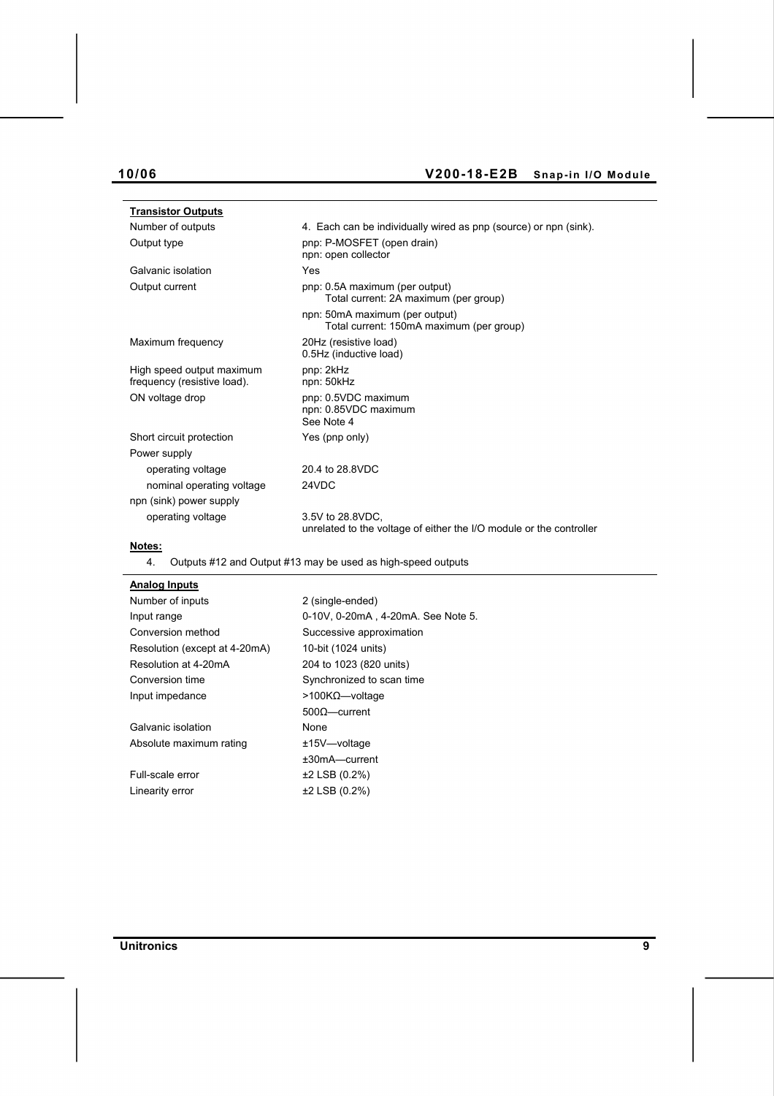# **10/06 V200-18-E2B Snap-in I/O Module**

| <b>Transistor Outputs</b>                                |                                                                                         |
|----------------------------------------------------------|-----------------------------------------------------------------------------------------|
| Number of outputs                                        | 4. Each can be individually wired as pnp (source) or npn (sink).                        |
| Output type                                              | pnp: P-MOSFET (open drain)<br>npn: open collector                                       |
| Galvanic isolation                                       | Yes                                                                                     |
| Output current                                           | pnp: 0.5A maximum (per output)<br>Total current: 2A maximum (per group)                 |
|                                                          | npn: 50mA maximum (per output)<br>Total current: 150mA maximum (per group)              |
| Maximum frequency                                        | 20Hz (resistive load)<br>0.5Hz (inductive load)                                         |
| High speed output maximum<br>frequency (resistive load). | pnp: 2kHz<br>npn: 50kHz                                                                 |
| ON voltage drop                                          | pnp: 0.5VDC maximum<br>npn: 0.85VDC maximum<br>See Note 4                               |
| Short circuit protection                                 | Yes (pnp only)                                                                          |
| Power supply                                             |                                                                                         |
| operating voltage                                        | 20.4 to 28.8VDC                                                                         |
| nominal operating voltage                                | 24VDC                                                                                   |
| npn (sink) power supply                                  |                                                                                         |
| operating voltage                                        | 3.5V to 28.8VDC.<br>unrelated to the voltage of either the I/O module or the controller |
| Notes:                                                   |                                                                                         |

4. Outputs #12 and Output #13 may be used as high-speed outputs

| <b>Analog Inputs</b>          |                                    |
|-------------------------------|------------------------------------|
| Number of inputs              | 2 (single-ended)                   |
| Input range                   | 0-10V, 0-20mA, 4-20mA. See Note 5. |
| Conversion method             | Successive approximation           |
| Resolution (except at 4-20mA) | 10-bit (1024 units)                |
| Resolution at 4-20mA          | 204 to 1023 (820 units)            |
| Conversion time               | Synchronized to scan time          |
| Input impedance               | $>$ 100KΩ—voltage                  |
|                               | $5000$ -current                    |
| Galvanic isolation            | None                               |
| Absolute maximum rating       | $±15V$ $-$ voltage                 |
|                               | $±30mA$ -current                   |
| Full-scale error              | $±2$ LSB (0.2%)                    |
| Linearity error               | ±2 LSB (0.2%)                      |
|                               |                                    |